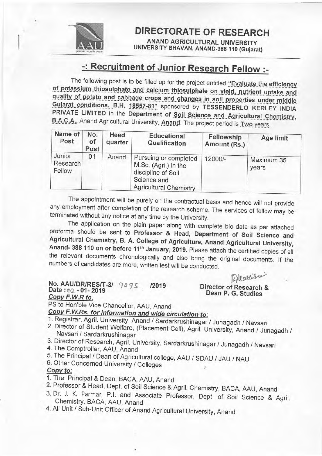

**DIRECTORATE OF RESEARCH** 

**ANAND AGRICULTURAL UNIVERSITY** UNIVERSITY BHAVAN, ANAND-388 110 (Gujarat)

## -: Recruitment of Junior Research Fellow :-

The following post is to be filled up for the project entitled "Evaluate the efficiency of potassium thiosulphate and calcium thiosulphate on yield, nutrient uptake and quality of potato and cabbage crops and changes in soil properties under middle Gujarat conditions, B.H. 18557-81" sponsored by TESSENDERLO KERLEY INDIA PRIVATE LIMITED in the Department of Soil Science and Agricultural Chemistry, B.A.C.A., Anand Agricultural University, Anand. The project period is Two years.

| Name of<br>Post              | No.<br>οf<br>Post | Head<br>quarter | <b>Educational</b><br>Qualification                                                                                 | Fellowship<br>Amount (Rs.) | Age limit           |
|------------------------------|-------------------|-----------------|---------------------------------------------------------------------------------------------------------------------|----------------------------|---------------------|
| Junior<br>Research<br>Fellow | 01                | Anand           | Pursuing or completed<br>M.Sc. (Agri.) in the<br>discipline of Soil<br>Science and<br><b>Agricultural Chemistry</b> | 12000/-                    | Maximum 35<br>years |

The appointment will be purely on the contractual basis and hence will not provide any employment after completion of the research scheme. The services of fellow may be terminated without any notice at any time by the University.

The application on the plain paper along with complete bio data as per attached proforma should be sent to Professor & Head, Department of Soil Science and Agricultural Chemistry, B. A. College of Agriculture, Anand Agricultural University, Anand- 388 110 on or before 11<sup>th</sup> January, 2019. Please attach the certified copies of all the relevant documents chronologically and also bring the original documents. If the numbers of candidates are more, written test will be conducted.

Allaters

## No. AAU/DR/RES/T-3/ 9095  $/2019$ Date: 62 - 01 - 2019 Copy F.W.R to.

Director of Research & Dean P. G. Studies

PS to Hon'ble Vice Chancellor, AAU, Anand

Copy F.W.Rs. for information and wide circulation to:

1. Registrar, Agril. University, Anand / Sardarkrushinagar / Junagadh / Navsari

- 2. Director of Student Welfare, (Placement Cell), Agril. University, Anand / Junagadh / Navsari / Sardarkrushinagar
- 3. Director of Research, Agril. University, Sardarkrushinagar / Junagadh / Navsari
- 4. The Comptroller, AAU, Anand
- 5. The Principal / Dean of Agricultural college, AAU / SDAU / JAU / NAU
- 6. Other Concerned University / Colleges

## Copy to:

- 1. The Principal & Dean, BACA, AAU, Anand
- 2. Professor & Head, Dept. of Soil Science & Agril. Chemistry, BACA, AAU, Anand
- 3. Dr. J. K. Parmar, P.I. and Associate Professor, Dept. of Soil Science & Agril. Chemistry, BACA, AAU, Anand
- 4. All Unit / Sub-Unit Officer of Anand Agricultural University, Anand